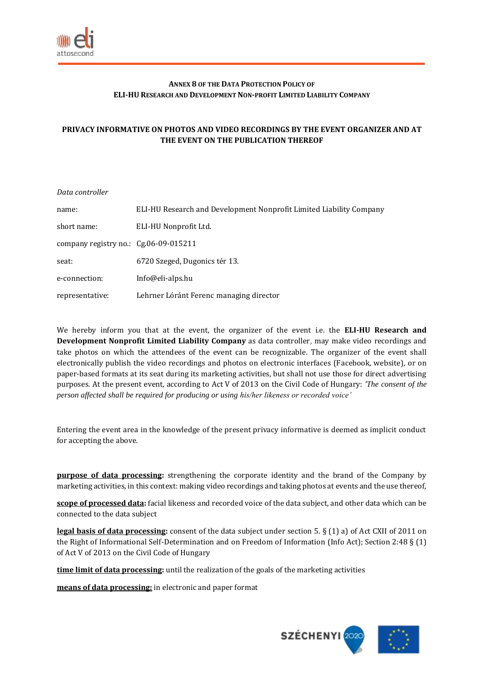

## **ANNEX 8 OF THE DATA PROTECTION POLICY OF ELI-HU RESEARCH AND DEVELOPMENT NON-PROFIT LIMITED LIABILITY COMPANY**

## **PRIVACY INFORMATIVE ON PHOTOS AND VIDEO RECORDINGS BY THE EVENT ORGANIZER AND AT THE EVENT ON THE PUBLICATION THEREOF**

| Data controller                         |                                                                     |
|-----------------------------------------|---------------------------------------------------------------------|
| name:                                   | ELI-HU Research and Development Nonprofit Limited Liability Company |
| short name:                             | ELI-HU Nonprofit Ltd.                                               |
| company registry no.: $Cg.06-09-015211$ |                                                                     |
| seat:                                   | 6720 Szeged, Dugonics tér 13.                                       |
| e-connection:                           | Info@eli-alps.hu                                                    |
| representative:                         | Lehrner Lóránt Ferenc managing director                             |

We hereby inform you that at the event, the organizer of the event i.e. the **ELI-HU Research and Development Nonprofit Limited Liability Company** as data controller, may make video recordings and take photos on which the attendees of the event can be recognizable. The organizer of the event shall electronically publish the video recordings and photos on electronic interfaces (Facebook, website), or on paper-based formats at its seat during its marketing activities, but shall not use those for direct advertising purposes. At the present event, according to Act V of 2013 on the Civil Code of Hungary: *'The consent of the person affected shall be required for producing or using his/her likeness or recorded voice'*

Entering the event area in the knowledge of the present privacy informative is deemed as implicit conduct for accepting the above.

**purpose of data processing:** strengthening the corporate identity and the brand of the Company by marketing activities, in this context: making video recordings and taking photos at events and the use thereof,

**scope of processed data:** facial likeness and recorded voice of the data subject, and other data which can be connected to the data subject

**legal basis of data processing:** consent of the data subject under section 5. § (1) a) of Act CXII of 2011 on the Right of Informational Self-Determination and on Freedom of Information (Info Act); Section 2:48 § (1) of Act V of 2013 on the Civil Code of Hungary

**time limit of data processing:** until the realization of the goals of the marketing activities

**means of data processing:** in electronic and paper format